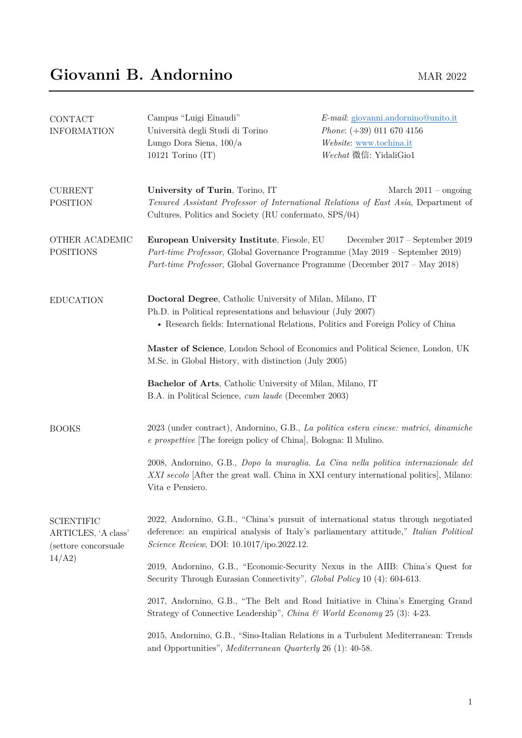| CONTACT<br><b>INFORMATION</b>                                               | Campus "Luigi Einaudi"<br>Università degli Studi di Torino<br>Lungo Dora Siena, 100/a<br>10121 Torino $(IT)$                                                                                                  | E-mail: giovanni.andornino@unito.it<br>Phone: $(+39)$ 011 670 4156<br>Website: www.tochina.it<br>Wechat 微信: YidaliGio1                                                                        |
|-----------------------------------------------------------------------------|---------------------------------------------------------------------------------------------------------------------------------------------------------------------------------------------------------------|-----------------------------------------------------------------------------------------------------------------------------------------------------------------------------------------------|
| <b>CURRENT</b><br><b>POSITION</b>                                           | University of Turin, Torino, IT<br>Cultures, Politics and Society (RU confermato, SPS/04)                                                                                                                     | March $2011 -$ ongoing<br>Tenured Assistant Professor of International Relations of East Asia, Department of                                                                                  |
| OTHER ACADEMIC<br><b>POSITIONS</b>                                          | European University Institute, Fiesole, EU                                                                                                                                                                    | December 2017 – September 2019<br>Part-time Professor, Global Governance Programme (May 2019 – September 2019)<br>Part-time Professor, Global Governance Programme (December 2017 – May 2018) |
| <b>EDUCATION</b>                                                            | Doctoral Degree, Catholic University of Milan, Milano, IT<br>Ph.D. in Political representations and behaviour (July 2007)<br>• Research fields: International Relations, Politics and Foreign Policy of China |                                                                                                                                                                                               |
|                                                                             | Master of Science, London School of Economics and Political Science, London, UK<br>M.Sc. in Global History, with distinction (July 2005)                                                                      |                                                                                                                                                                                               |
|                                                                             | Bachelor of Arts, Catholic University of Milan, Milano, IT<br>B.A. in Political Science, cum laude (December 2003)                                                                                            |                                                                                                                                                                                               |
| <b>BOOKS</b>                                                                | e prospettive [The foreign policy of China], Bologna: Il Mulino.                                                                                                                                              | 2023 (under contract), Andornino, G.B., La politica estera cinese: matrici, dinamiche                                                                                                         |
|                                                                             | Vita e Pensiero.                                                                                                                                                                                              | 2008, Andornino, G.B., Dopo la muraglia. La Cina nella politica internazionale del<br>XXI secolo [After the great wall. China in XXI century international politics], Milano:                 |
| <b>SCIENTIFIC</b><br>ARTICLES, 'A class'<br>(settore concorsuale)<br>14/A2) | <i>Science Review</i> , DOI: 10.1017/ipo.2022.12.                                                                                                                                                             | 2022, Andornino, G.B., "China's pursuit of international status through negotiated<br>deference: an empirical analysis of Italy's parliamentary attitude," Italian Political                  |
|                                                                             | 2019, Andornino, G.B., "Economic-Security Nexus in the AIIB: China's Quest for<br>Security Through Eurasian Connectivity", <i>Global Policy</i> 10 (4): 604-613.                                              |                                                                                                                                                                                               |
|                                                                             | Strategy of Connective Leadership", China & World Economy 25 (3): 4-23.                                                                                                                                       | 2017, Andornino, G.B., "The Belt and Road Initiative in China's Emerging Grand                                                                                                                |
|                                                                             | and Opportunities", Mediterranean Quarterly 26 (1): 40-58.                                                                                                                                                    | 2015, Andornino, G.B., "Sino-Italian Relations in a Turbulent Mediterranean: Trends                                                                                                           |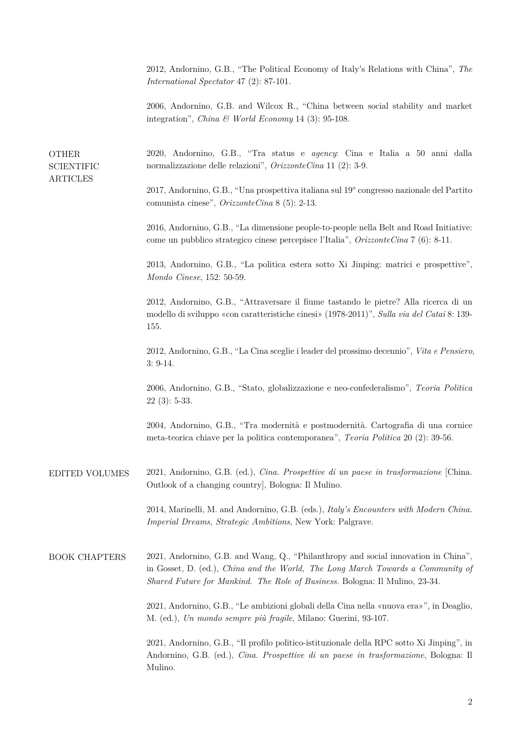2012, Andornino, G.B., "The Political Economy of Italy's Relations with China", *The International Spectator* 47 (2): 87-101.

2006, Andornino, G.B. and Wilcox R., "China between social stability and market integration", *China & World Economy* 14 (3): 95-108.

| <b>OTHER</b><br><b>SCIENTIFIC</b><br><b>ARTICLES</b> | 2020, Andornino, G.B., "Tra status e agency: Cina e Italia a 50 anni dalla<br>normalizzazione delle relazioni", $OrizzonteCina$ 11 (2): 3-9.                                                                                                         |
|------------------------------------------------------|------------------------------------------------------------------------------------------------------------------------------------------------------------------------------------------------------------------------------------------------------|
|                                                      | 2017, Andornino, G.B., "Una prospettiva italiana sul 19° congresso nazionale del Partito<br>comunista cinese", $OrizzonteCina 8$ (5): 2-13.                                                                                                          |
|                                                      | 2016, Andornino, G.B., "La dimensione people-to-people nella Belt and Road Initiative:<br>come un pubblico strategico cinese percepisce l'Italia", $OrizzonteCina 7$ (6): 8-11.                                                                      |
|                                                      | 2013, Andornino, G.B., "La politica estera sotto Xi Jinping: matrici e prospettive",<br>Mondo Cinese, 152: 50-59.                                                                                                                                    |
|                                                      | 2012, Andornino, G.B., "Attraversare il fiume tastando le pietre? Alla ricerca di un<br>modello di sviluppo «con caratteristiche cinesi» (1978-2011)", Sulla via del Catai 8: 139-<br>155.                                                           |
|                                                      | 2012, Andornino, G.B., "La Cina sceglie i leader del prossimo decennio", Vita e Pensiero,<br>$3: 9-14.$                                                                                                                                              |
|                                                      | 2006, Andornino, G.B., "Stato, globalizzazione e neo-confederalismo", Teoria Politica<br>$22(3): 5-33.$                                                                                                                                              |
|                                                      | 2004, Andornino, G.B., "Tra modernità e postmodernità. Cartografia di una cornice<br>meta-teorica chiave per la politica contemporanea", Teoria Politica 20 (2): 39-56.                                                                              |
| <b>EDITED VOLUMES</b>                                | 2021, Andornino, G.B. (ed.), Cina. Prospettive di un paese in trasformazione [China.<br>Outlook of a changing country], Bologna: Il Mulino.                                                                                                          |
|                                                      | 2014, Marinelli, M. and Andornino, G.B. (eds.), <i>Italy's Encounters with Modern China</i> .<br>Imperial Dreams, Strategic Ambitions, New York: Palgrave.                                                                                           |
| <b>BOOK CHAPTERS</b>                                 | 2021, Andornino, G.B. and Wang, Q., "Philanthropy and social innovation in China",<br>in Gosset, D. (ed.), China and the World, The Long March Towards a Community of<br>Shared Future for Mankind. The Role of Business. Bologna: Il Mulino, 23-34. |
|                                                      | 2021, Andornino, G.B., "Le ambizioni globali della Cina nella «nuova era»", in Deaglio,<br>M. (ed.), Un mondo sempre più fragile, Milano: Guerini, 93-107.                                                                                           |
|                                                      | 2021, Andornino, G.B., "Il profilo politico-istituzionale della RPC sotto Xi Jinping", in<br>Andornino, G.B. (ed.), Cina. Prospettive di un paese in trasformazione, Bologna: Il<br>Mulino.                                                          |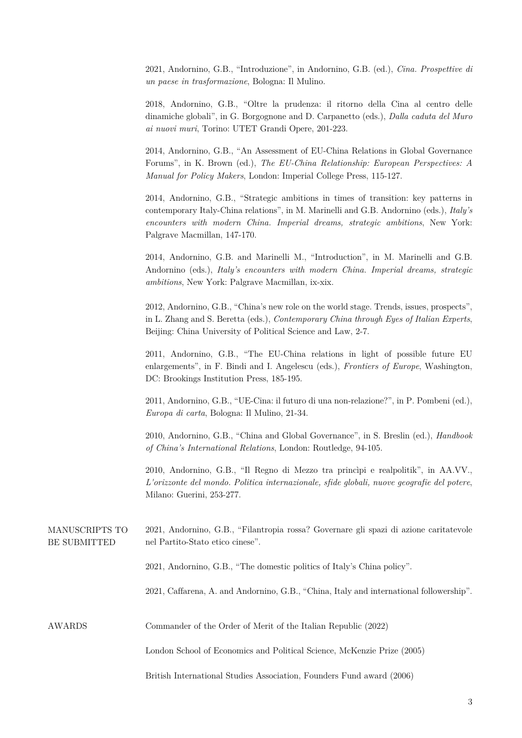2021, Andornino, G.B., "Introduzione", in Andornino, G.B. (ed.), *Cina. Prospettive di un paese in trasformazione*, Bologna: Il Mulino.

2018, Andornino, G.B., "Oltre la prudenza: il ritorno della Cina al centro delle dinamiche globali", in G. Borgognone and D. Carpanetto (eds.), *Dalla caduta del Muro ai nuovi muri*, Torino: UTET Grandi Opere, 201-223.

2014, Andornino, G.B., "An Assessment of EU-China Relations in Global Governance Forums", in K. Brown (ed.), *The EU-China Relationship: European Perspectives: A Manual for Policy Makers*, London: Imperial College Press, 115-127.

2014, Andornino, G.B., "Strategic ambitions in times of transition: key patterns in contemporary Italy-China relations", in M. Marinelli and G.B. Andornino (eds.), *Italy's encounters with modern China. Imperial dreams, strategic ambitions*, New York: Palgrave Macmillan, 147-170.

2014, Andornino, G.B. and Marinelli M., "Introduction", in M. Marinelli and G.B. Andornino (eds.), *Italy's encounters with modern China. Imperial dreams, strategic ambitions*, New York: Palgrave Macmillan, ix-xix.

2012, Andornino, G.B., "China's new role on the world stage. Trends, issues, prospects", in L. Zhang and S. Beretta (eds.), *Contemporary China through Eyes of Italian Experts*, Beijing: China University of Political Science and Law, 2-7.

2011, Andornino, G.B., "The EU-China relations in light of possible future EU enlargements", in F. Bindi and I. Angelescu (eds.), *Frontiers of Europe*, Washington, DC: Brookings Institution Press, 185-195.

2011, Andornino, G.B., "UE-Cina: il futuro di una non-relazione?", in P. Pombeni (ed.), *Europa di carta*, Bologna: Il Mulino, 21-34.

2010, Andornino, G.B., "China and Global Governance", in S. Breslin (ed.), *Handbook of China's International Relations*, London: Routledge, 94-105.

2010, Andornino, G.B., "Il Regno di Mezzo tra princìpi e realpolitik", in AA.VV., *L'orizzonte del mondo. Politica internazionale, sfide globali, nuove geografie del potere*, Milano: Guerini, 253-277.

2021, Andornino, G.B., "Filantropia rossa? Governare gli spazi di azione caritatevole nel Partito-Stato etico cinese". MANUSCRIPTS TO BE SUBMITTED

2021, Andornino, G.B., "The domestic politics of Italy's China policy".

2021, Caffarena, A. and Andornino, G.B., "China, Italy and international followership".

Commander of the Order of Merit of the Italian Republic (2022) AWARDS

London School of Economics and Political Science, McKenzie Prize (2005)

British International Studies Association, Founders Fund award (2006)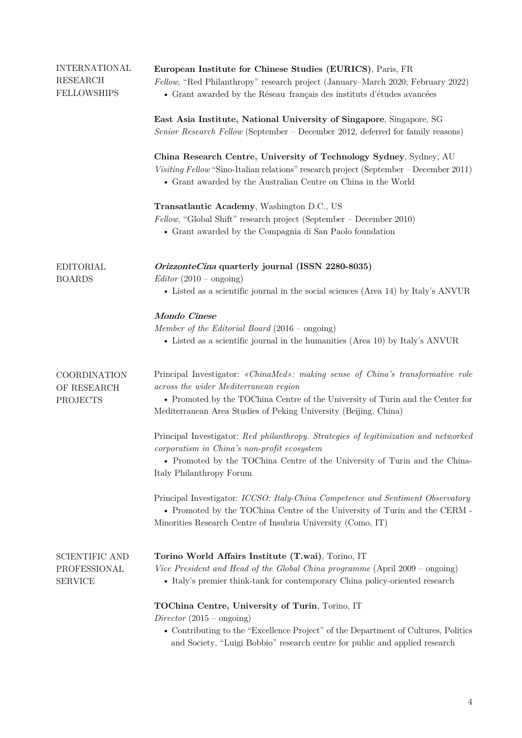| <b>INTERNATIONAL</b><br><b>RESEARCH</b><br><b>FELLOWSHIPS</b> | European Institute for Chinese Studies (EURICS), Paris, FR<br>Fellow, "Red Philanthropy" research project (January–March 2020; February 2022)<br>• Grant awarded by the Réseau français des instituts d'études avancées                                                        |
|---------------------------------------------------------------|--------------------------------------------------------------------------------------------------------------------------------------------------------------------------------------------------------------------------------------------------------------------------------|
|                                                               | East Asia Institute, National University of Singapore, Singapore, SG<br>Senior Research Fellow (September – December 2012, deferred for family reasons)                                                                                                                        |
|                                                               | China Research Centre, University of Technology Sydney, Sydney, AU<br>Visiting Fellow "Sino-Italian relations" research project (September – December 2011)<br>• Grant awarded by the Australian Centre on China in the World                                                  |
|                                                               | Transatlantic Academy, Washington D.C., US<br>Fellow, "Global Shift" research project (September – December 2010)<br>• Grant awarded by the Compagnia di San Paolo foundation                                                                                                  |
| <b>EDITORIAL</b><br><b>BOARDS</b>                             | OrizzonteCina quarterly journal (ISSN 2280-8035)<br>$Editor (2010 - ongoing)$<br>• Listed as a scientific journal in the social sciences (Area 14) by Italy's ANVUR                                                                                                            |
|                                                               |                                                                                                                                                                                                                                                                                |
|                                                               | Mondo Cinese<br>Member of the Editorial Board $(2016 - \text{ongo})$<br>• Listed as a scientific journal in the humanities (Area 10) by Italy's ANVUR                                                                                                                          |
| COORDINATION<br>OF RESEARCH<br><b>PROJECTS</b>                | Principal Investigator: «ChinaMed»: making sense of China's transformative role<br>across the wider Mediterranean region<br>• Promoted by the TOChina Centre of the University of Turin and the Center for<br>Mediterranean Area Studies of Peking University (Beijing, China) |
|                                                               | Principal Investigator: Red philanthropy. Strategies of legitimization and networked<br>corporatism in China's non-profit ecosystem<br>• Promoted by the TOChina Centre of the University of Turin and the China-<br>Italy Philanthropy Forum                                  |
|                                                               | Principal Investigator: ICCSO: Italy-China Competence and Sentiment Observatory<br>• Promoted by the TOChina Centre of the University of Turin and the CERM -<br>Minorities Research Centre of Insubria University (Como, IT)                                                  |
| <b>SCIENTIFIC AND</b><br>PROFESSIONAL<br><b>SERVICE</b>       | Torino World Affairs Institute (T.wai), Torino, IT<br>Vice President and Head of the Global China programme (April 2009 - ongoing)<br>• Italy's premier think-tank for contemporary China policy-oriented research                                                             |
|                                                               | TOChina Centre, University of Turin, Torino, IT<br>Director $(2015 - \text{ongo})$<br>• Contributing to the "Excellence Project" of the Department of Cultures, Politics<br>and Society, "Luigi Bobbio" research centre for public and applied research                        |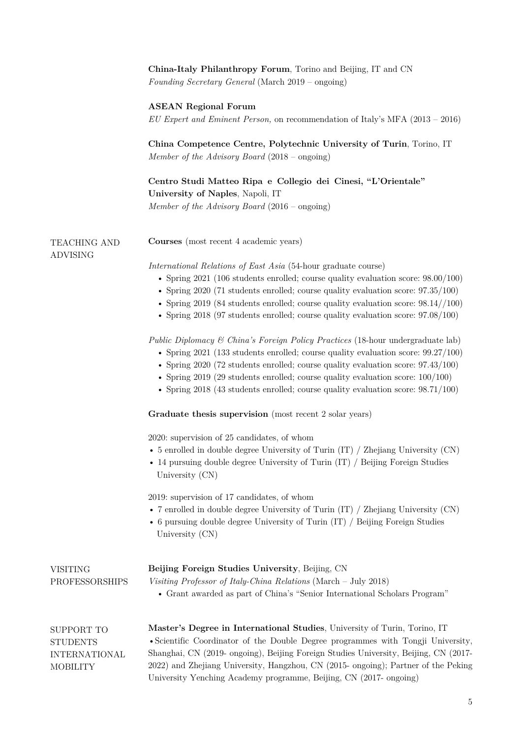|                                                                          | China-Italy Philanthropy Forum, Torino and Beijing, IT and CN<br>Founding Secretary General (March 2019 – ongoing)                                                                                                                                                                                                                                                                                                                                        |  |
|--------------------------------------------------------------------------|-----------------------------------------------------------------------------------------------------------------------------------------------------------------------------------------------------------------------------------------------------------------------------------------------------------------------------------------------------------------------------------------------------------------------------------------------------------|--|
|                                                                          | <b>ASEAN Regional Forum</b><br>EU Expert and Eminent Person, on recommendation of Italy's MFA $(2013 - 2016)$                                                                                                                                                                                                                                                                                                                                             |  |
|                                                                          | China Competence Centre, Polytechnic University of Turin, Torino, IT<br>Member of the Advisory Board $(2018 - \text{ongo})$                                                                                                                                                                                                                                                                                                                               |  |
|                                                                          | Centro Studi Matteo Ripa e Collegio dei Cinesi, "L'Orientale"<br>University of Naples, Napoli, IT<br>Member of the Advisory Board $(2016 - \text{ongo})$                                                                                                                                                                                                                                                                                                  |  |
| TEACHING AND<br><b>ADVISING</b>                                          | Courses (most recent 4 academic years)                                                                                                                                                                                                                                                                                                                                                                                                                    |  |
|                                                                          | <i>International Relations of East Asia</i> (54-hour graduate course)<br>• Spring $2021$ (106 students enrolled; course quality evaluation score: $98.00/100$ )<br>• Spring $2020$ (71 students enrolled; course quality evaluation score: $97.35/100$ )<br>• Spring 2019 (84 students enrolled; course quality evaluation score: $98.14//100$ )<br>• Spring $2018$ (97 students enrolled; course quality evaluation score: $97.08/100$ )                 |  |
|                                                                          | <i>Public Diplomacy &amp; China's Foreign Policy Practices</i> (18-hour undergraduate lab)<br>• Spring $2021$ (133 students enrolled; course quality evaluation score: $99.27/100$ )<br>• Spring $2020$ (72 students enrolled; course quality evaluation score: $97.43/100$ )<br>• Spring 2019 (29 students enrolled; course quality evaluation score: $100/100$ )<br>• Spring 2018 (43 students enrolled; course quality evaluation score: $98.71/100$ ) |  |
|                                                                          | Graduate thesis supervision (most recent 2 solar years)                                                                                                                                                                                                                                                                                                                                                                                                   |  |
|                                                                          | 2020: supervision of 25 candidates, of whom<br>• 5 enrolled in double degree University of Turin $(IT)$ / Zhejiang University $(CN)$<br>• 14 pursuing double degree University of Turin $(IT)$ / Beijing Foreign Studies<br>University $(CN)$                                                                                                                                                                                                             |  |
|                                                                          | 2019: supervision of 17 candidates, of whom<br>• 7 enrolled in double degree University of Turin (IT) $/$ Zhejiang University (CN)<br>• 6 pursuing double degree University of Turin $(IT)$ / Beijing Foreign Studies<br>University $(CN)$                                                                                                                                                                                                                |  |
| <b>VISITING</b><br>PROFESSORSHIPS                                        | Beijing Foreign Studies University, Beijing, CN<br>Visiting Professor of Italy-China Relations (March - July 2018)<br>• Grant awarded as part of China's "Senior International Scholars Program"                                                                                                                                                                                                                                                          |  |
| SUPPORT TO<br><b>STUDENTS</b><br><b>INTERNATIONAL</b><br><b>MOBILITY</b> | Master's Degree in International Studies, University of Turin, Torino, IT<br>• Scientific Coordinator of the Double Degree programmes with Tongji University,<br>Shanghai, CN (2019- ongoing), Beijing Foreign Studies University, Beijing, CN (2017-<br>2022) and Zhejiang University, Hangzhou, CN (2015- ongoing); Partner of the Peking<br>University Yenching Academy programme, Beijing, CN (2017- ongoing)                                         |  |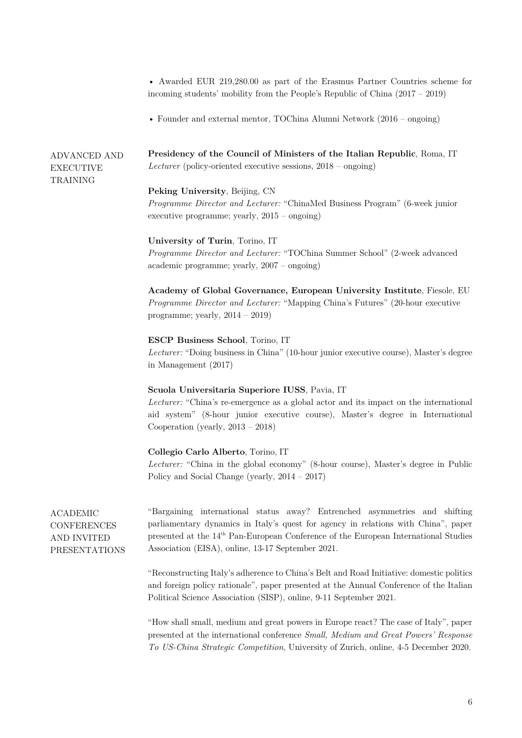|                                                                              | • Awarded EUR 219,280.00 as part of the Erasmus Partner Countries scheme for<br>incoming students' mobility from the People's Republic of China $(2017 - 2019)$                                                                                                                                                          |  |
|------------------------------------------------------------------------------|--------------------------------------------------------------------------------------------------------------------------------------------------------------------------------------------------------------------------------------------------------------------------------------------------------------------------|--|
|                                                                              | • Founder and external mentor, TOChina Alumni Network $(2016 - \text{ongo})$                                                                                                                                                                                                                                             |  |
| <b>ADVANCED AND</b><br><b>EXECUTIVE</b><br>TRAINING                          | Presidency of the Council of Ministers of the Italian Republic, Roma, IT<br><i>Lecturer</i> (policy-oriented executive sessions, $2018 - \text{ongo}$ )                                                                                                                                                                  |  |
|                                                                              | Peking University, Beijing, CN<br><i>Programme Director and Lecturer:</i> "ChinaMed Business Program" (6-week junior<br>executive programme; yearly, $2015$ – ongoing)                                                                                                                                                   |  |
|                                                                              | University of Turin, Torino, IT<br>Programme Director and Lecturer: "TOChina Summer School" (2-week advanced<br>$\alpha$ academic programme; yearly, $2007 - \text{ongoing}$ )                                                                                                                                           |  |
|                                                                              | Academy of Global Governance, European University Institute, Fiesole, EU<br><i>Programme Director and Lecturer:</i> "Mapping China's Futures" (20-hour executive<br>programme; yearly, $2014 - 2019$ )                                                                                                                   |  |
|                                                                              | <b>ESCP Business School, Torino, IT</b><br><i>Lecturer:</i> "Doing business in China" (10-hour junior executive course), Master's degree<br>in Management $(2017)$                                                                                                                                                       |  |
|                                                                              | Scuola Universitaria Superiore IUSS, Pavia, IT<br><i>Lecturer:</i> "China's re-emergence as a global actor and its impact on the international<br>aid system" (8-hour junior executive course), Master's degree in International<br>Cooperation (yearly, $2013 - 2018$ )                                                 |  |
|                                                                              | Collegio Carlo Alberto, Torino, IT<br><i>Lecturer:</i> "China in the global economy" (8-hour course), Master's degree in Public<br>Policy and Social Change (yearly, $2014 - 2017$ )                                                                                                                                     |  |
| <b>ACADEMIC</b><br><b>CONFERENCES</b><br>AND INVITED<br><b>PRESENTATIONS</b> | "Bargaining international status away? Entrenched asymmetries and shifting<br>parliamentary dynamics in Italy's quest for agency in relations with China", paper<br>presented at the 14 <sup>th</sup> Pan-European Conference of the European International Studies<br>Association (EISA), online, 13-17 September 2021. |  |
|                                                                              | "Reconstructing Italy's adherence to China's Belt and Road Initiative: domestic politics<br>and foreign policy rationale", paper presented at the Annual Conference of the Italian<br>Political Science Association (SISP), online, 9-11 September 2021.                                                                 |  |
|                                                                              | "How shall small, medium and great powers in Europe react? The case of Italy", paper<br>presented at the international conference Small, Medium and Great Powers' Response                                                                                                                                               |  |

*To US-China Strategic Competition*, University of Zurich, online, 4-5 December 2020.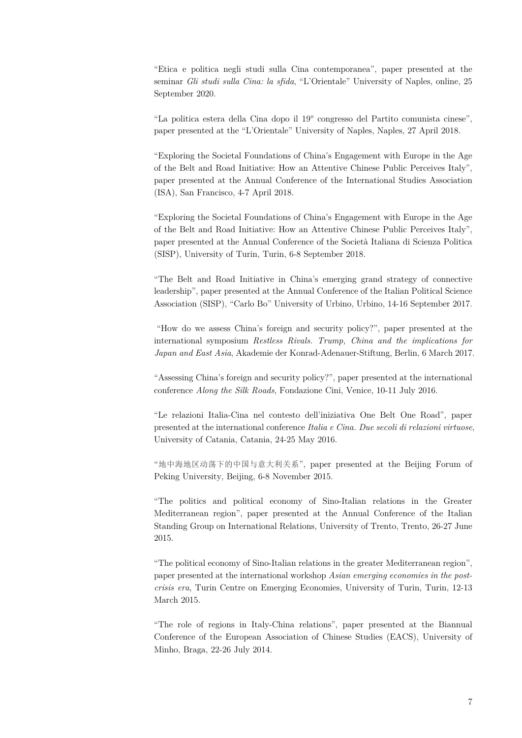"Etica e politica negli studi sulla Cina contemporanea", paper presented at the seminar *Gli studi sulla Cina: la sfida*, "L'Orientale" University of Naples, online, 25 September 2020.

"La politica estera della Cina dopo il 19° congresso del Partito comunista cinese", paper presented at the "L'Orientale" University of Naples, Naples, 27 April 2018.

"Exploring the Societal Foundations of China's Engagement with Europe in the Age of the Belt and Road Initiative: How an Attentive Chinese Public Perceives Italy", paper presented at the Annual Conference of the International Studies Association (ISA), San Francisco, 4-7 April 2018.

"Exploring the Societal Foundations of China's Engagement with Europe in the Age of the Belt and Road Initiative: How an Attentive Chinese Public Perceives Italy", paper presented at the Annual Conference of the Società Italiana di Scienza Politica (SISP), University of Turin, Turin, 6-8 September 2018.

"The Belt and Road Initiative in China's emerging grand strategy of connective leadership", paper presented at the Annual Conference of the Italian Political Science Association (SISP), "Carlo Bo" University of Urbino, Urbino, 14-16 September 2017.

"How do we assess China's foreign and security policy?", paper presented at the international symposium *Restless Rivals. Trump, China and the implications for Japan and East Asia*, Akademie der Konrad-Adenauer-Stiftung, Berlin, 6 March 2017.

"Assessing China's foreign and security policy?", paper presented at the international conference *Along the Silk Roads*, Fondazione Cini, Venice, 10-11 July 2016.

"Le relazioni Italia-Cina nel contesto dell'iniziativa One Belt One Road", paper presented at the international conference *Italia e Cina. Due secoli di relazioni virtuose*, University of Catania, Catania, 24-25 May 2016.

"地中海地区动荡下的中国与意大利关系", paper presented at the Beijing Forum of Peking University, Beijing, 6-8 November 2015.

"The politics and political economy of Sino-Italian relations in the Greater Mediterranean region", paper presented at the Annual Conference of the Italian Standing Group on International Relations, University of Trento, Trento, 26-27 June 2015.

"The political economy of Sino-Italian relations in the greater Mediterranean region", paper presented at the international workshop *Asian emerging economies in the postcrisis era*, Turin Centre on Emerging Economies, University of Turin, Turin, 12-13 March 2015.

"The role of regions in Italy-China relations", paper presented at the Biannual Conference of the European Association of Chinese Studies (EACS), University of Minho, Braga, 22-26 July 2014.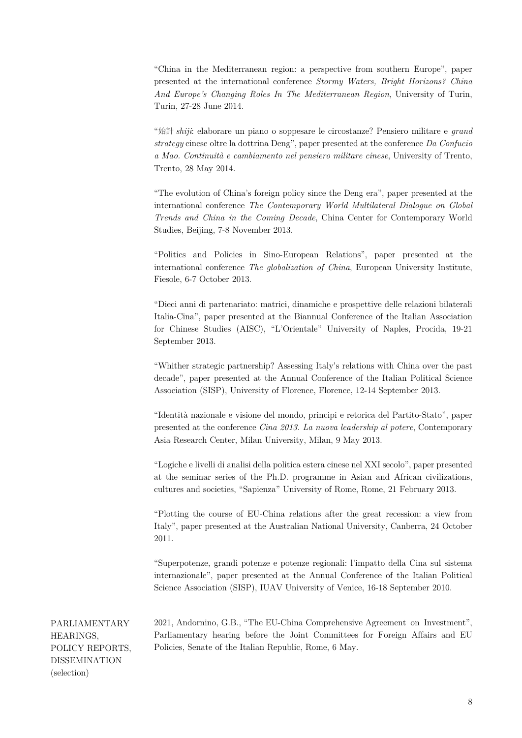"China in the Mediterranean region: a perspective from southern Europe", paper presented at the international conference *Stormy Waters, Bright Horizons? China And Europe's Changing Roles In The Mediterranean Region*, University of Turin, Turin, 27-28 June 2014.

"始計 *shiji*: elaborare un piano o soppesare le circostanze? Pensiero militare e *grand strategy* cinese oltre la dottrina Deng", paper presented at the conference *Da Confucio a Mao. Continuità e cambiamento nel pensiero militare cinese*, University of Trento, Trento, 28 May 2014.

"The evolution of China's foreign policy since the Deng era", paper presented at the international conference *The Contemporary World Multilateral Dialogue on Global Trends and China in the Coming Decade*, China Center for Contemporary World Studies, Beijing, 7-8 November 2013.

"Politics and Policies in Sino-European Relations", paper presented at the international conference *The globalization of China*, European University Institute, Fiesole, 6-7 October 2013.

"Dieci anni di partenariato: matrici, dinamiche e prospettive delle relazioni bilaterali Italia-Cina", paper presented at the Biannual Conference of the Italian Association for Chinese Studies (AISC), "L'Orientale" University of Naples, Procida, 19-21 September 2013.

"Whither strategic partnership? Assessing Italy's relations with China over the past decade", paper presented at the Annual Conference of the Italian Political Science Association (SISP), University of Florence, Florence, 12-14 September 2013.

"Identità nazionale e visione del mondo, principi e retorica del Partito-Stato", paper presented at the conference *Cina 2013. La nuova leadership al potere*, Contemporary Asia Research Center, Milan University, Milan, 9 May 2013.

"Logiche e livelli di analisi della politica estera cinese nel XXI secolo", paper presented at the seminar series of the Ph.D. programme in Asian and African civilizations, cultures and societies, "Sapienza" University of Rome, Rome, 21 February 2013.

"Plotting the course of EU-China relations after the great recession: a view from Italy", paper presented at the Australian National University, Canberra, 24 October 2011.

"Superpotenze, grandi potenze e potenze regionali: l'impatto della Cina sul sistema internazionale", paper presented at the Annual Conference of the Italian Political Science Association (SISP), IUAV University of Venice, 16-18 September 2010.

PARLIAMENTARY HEARINGS, POLICY REPORTS, DISSEMINATION (selection)

2021, Andornino, G.B., "The EU-China Comprehensive Agreement on Investment", Parliamentary hearing before the Joint Committees for Foreign Affairs and EU Policies, Senate of the Italian Republic, Rome, 6 May.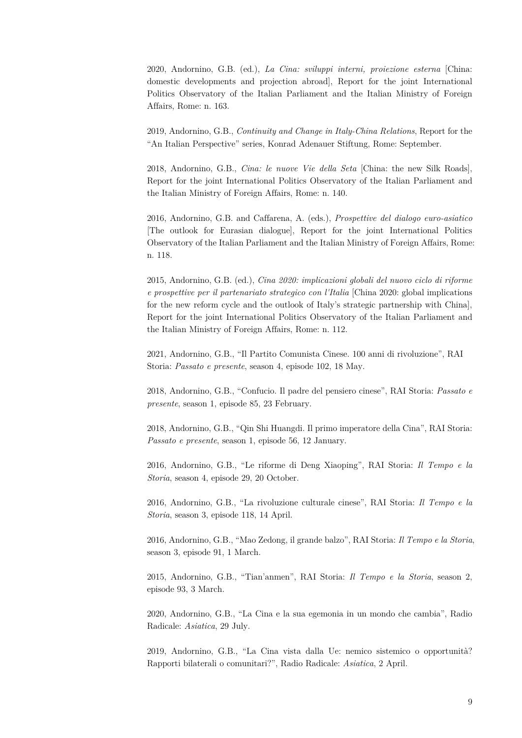2020, Andornino, G.B. (ed.), *La Cina: sviluppi interni, proiezione esterna* [China: domestic developments and projection abroad], Report for the joint International Politics Observatory of the Italian Parliament and the Italian Ministry of Foreign Affairs, Rome: n. 163.

2019, Andornino, G.B., *Continuity and Change in Italy-China Relations*, Report for the "An Italian Perspective" series, Konrad Adenauer Stiftung, Rome: September.

2018, Andornino, G.B., *Cina: le nuove Vie della Seta* [China: the new Silk Roads], Report for the joint International Politics Observatory of the Italian Parliament and the Italian Ministry of Foreign Affairs, Rome: n. 140.

2016, Andornino, G.B. and Caffarena, A. (eds.), *Prospettive del dialogo euro-asiatico* [The outlook for Eurasian dialogue], Report for the joint International Politics Observatory of the Italian Parliament and the Italian Ministry of Foreign Affairs, Rome: n. 118.

2015, Andornino, G.B. (ed.), *Cina 2020: implicazioni globali del nuovo ciclo di riforme e prospettive per il partenariato strategico con l'Italia* [China 2020: global implications for the new reform cycle and the outlook of Italy's strategic partnership with China], Report for the joint International Politics Observatory of the Italian Parliament and the Italian Ministry of Foreign Affairs, Rome: n. 112.

2021, Andornino, G.B., "Il Partito Comunista Cinese. 100 anni di rivoluzione", RAI Storia: *Passato e presente*, season 4, episode 102, 18 May.

2018, Andornino, G.B., "Confucio. Il padre del pensiero cinese", RAI Storia: *Passato e presente*, season 1, episode 85, 23 February.

2018, Andornino, G.B., "Qin Shi Huangdi. Il primo imperatore della Cina", RAI Storia: *Passato e presente*, season 1, episode 56, 12 January.

2016, Andornino, G.B., "Le riforme di Deng Xiaoping", RAI Storia: *Il Tempo e la Storia*, season 4, episode 29, 20 October.

2016, Andornino, G.B., "La rivoluzione culturale cinese", RAI Storia: *Il Tempo e la Storia*, season 3, episode 118, 14 April.

2016, Andornino, G.B., "Mao Zedong, il grande balzo", RAI Storia: *Il Tempo e la Storia*, season 3, episode 91, 1 March.

2015, Andornino, G.B., "Tian'anmen", RAI Storia: *Il Tempo e la Storia*, season 2, episode 93, 3 March.

2020, Andornino, G.B., "La Cina e la sua egemonia in un mondo che cambia", Radio Radicale: *Asiatica*, 29 July.

2019, Andornino, G.B., "La Cina vista dalla Ue: nemico sistemico o opportunità? Rapporti bilaterali o comunitari?", Radio Radicale: *Asiatica*, 2 April.